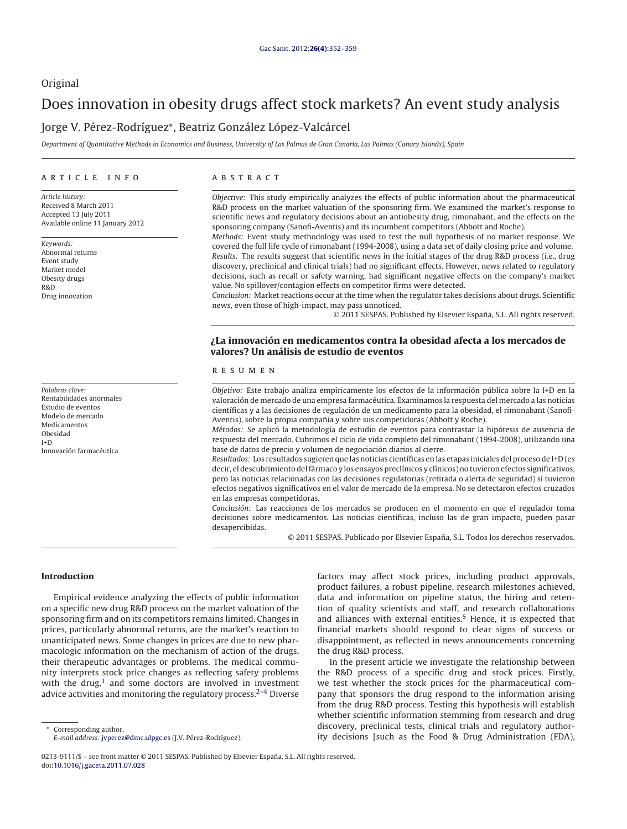# Original

# Does innovation in obesity drugs affect stock markets? An event study analysis Jorge V. Pérez-Rodríguez∗, Beatriz González López-Valcárcel

Department of Quantitative Methods in Economics and Business, University of Las Palmas de Gran Canaria, Las Palmas (Canary Islands), Spain

#### a r t i c l e i n f o

Article history: Received 8 March 2011 Accepted 13 July 2011 Available online 11 January 2012

Keywords: Abnormal returns Event study Market model Obesity drugs R&D Drug innovation

Palabras clave: Rentabilidades anormales Estudio de eventos Modelo de mercado Medicamentos Obesidad  $I+D$ Innovación farmacéutica

# A B S T R A C T

Objective: This study empirically analyzes the effects of public information about the pharmaceutical R&D process on the market valuation of the sponsoring firm. We examined the market's response to scientific news and regulatory decisions about an antiobesity drug, rimonabant, and the effects on the sponsoring company (Sanofi-Aventis) and its incumbent competitors (Abbott and Roche).

Methods: Event study methodology was used to test the null hypothesis of no market response. We covered the full life cycle of rimonabant (1994-2008), using a data set of daily closing price and volume. Results: The results suggest that scientific news in the initial stages of the drug R&D process (i.e., drug discovery, preclinical and clinical trials) had no significant effects. However, news related to regulatory decisions, such as recall or safety warning, had significant negative effects on the company's market value. No spillover/contagion effects on competitor firms were detected.

Conclusion: Market reactions occur at the time when the regulator takes decisions about drugs. Scientific news, even those of high-impact, may pass unnoticed.

© 2011 SESPAS. Published by Elsevier España, S.L. All rights reserved.

# **¿La innovación en medicamentos contra la obesidad afecta a los mercados de valores? Un análisis de estudio de eventos**

#### r e s u m e n

Objetivo: Este trabajo analiza empíricamente los efectos de la información pública sobre la I+D en la valoración de mercado de una empresa farmacéutica. Examinamos la respuesta del mercado a las noticias científicas y a las decisiones de regulación de un medicamento para la obesidad, el rimonabant (Sanofi-Aventis), sobre la propia compañía y sobre sus competidoras (Abbott y Roche).

Métodos: Se aplicó la metodología de estudio de eventos para contrastar la hipótesis de ausencia de respuesta del mercado. Cubrimos el ciclo de vida completo del rimonabant (1994-2008), utilizando una base de datos de precio y volumen de negociación diarios al cierre.

Resultados: Los resultados sugieren que las noticias científicas en las etapas iniciales del proceso de I+D (es decir, el descubrimiento delfármaco y los ensayos preclínicos y clínicos) no tuvieron efectos significativos, pero las noticias relacionadas con las decisiones regulatorias (retirada o alerta de seguridad) sí tuvieron efectos negativos significativos en el valor de mercado de la empresa. No se detectaron efectos cruzados en las empresas competidoras.

Conclusión: Las reacciones de los mercados se producen en el momento en que el regulador toma decisiones sobre medicamentos. Las noticias científicas, incluso las de gran impacto, pueden pasar desapercibidas.

© 2011 SESPAS. Publicado por Elsevier España, S.L. Todos los derechos reservados.

**Introduction**

Empirical evidence analyzing the effects of public information on a specific new drug R&D process on the market valuation of the sponsoring firm and on its competitors remains limited. Changes in prices, particularly abnormal returns, are the market's reaction to unanticipated news. Some changes in prices are due to new pharmacologic information on the mechanism of action of the drugs, their therapeutic advantages or problems. The medical community interprets stock price changes as reflecting safety problems with the drug, $1$  and some doctors are involved in investment advice activities and monitoring the regulatory process. $2-4$  Diverse

∗ Corresponding author. E-mail address: [jvperez@dmc.ulpgc.es](mailto:jvperez@dmc.ulpgc.es) (J.V. Pérez-Rodríguez). factors may affect stock prices, including product approvals, product failures, a robust pipeline, research milestones achieved, data and information on pipeline status, the hiring and retention of quality scientists and staff, and research collaborations and alliances with external entities.<sup>5</sup> Hence, it is expected that financial markets should respond to clear signs of success or disappointment, as reflected in news announcements concerning the drug R&D process.

In the present article we investigate the relationship between the R&D process of a specific drug and stock prices. Firstly, we test whether the stock prices for the pharmaceutical company that sponsors the drug respond to the information arising from the drug R&D process. Testing this hypothesis will establish whether scientific information stemming from research and drug discovery, preclinical tests, clinical trials and regulatory authority decisions [such as the Food & Drug Administration (FDA),

<sup>0213-9111/\$</sup> – see front matter © 2011 SESPAS. Published by Elsevier España, S.L. All rights reserved. doi:[10.1016/j.gaceta.2011.07.028](dx.doi.org/10.1016/j.gaceta.2011.07.028)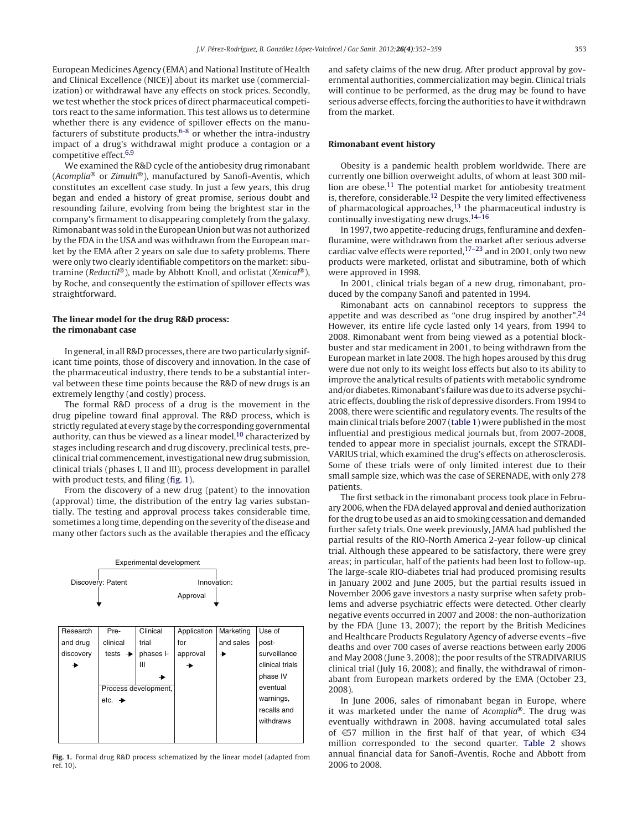European Medicines Agency (EMA) and National Institute of Health and Clinical Excellence (NICE)] about its market use (commercialization) or withdrawal have any effects on stock prices. Secondly, we test whether the stock prices of direct pharmaceutical competitors react to the same information. This test allows us to determine whether there is any evidence of spillover effects on the manufacturers of substitute products, $6-8$  or whether the intra-industry impact of a drug's withdrawal might produce a contagion or a competitive effect.[6,9](#page-6-0)

We examined the R&D cycle of the antiobesity drug rimonabant (Acomplia<sup>®</sup> or Zimulti®), manufactured by Sanofi-Aventis, which constitutes an excellent case study. In just a few years, this drug began and ended a history of great promise, serious doubt and resounding failure, evolving from being the brightest star in the company's firmament to disappearing completely from the galaxy. Rimonabant was sold inthe European Unionbut wasnot authorized by the FDA in the USA and was withdrawn from the European market by the EMA after 2 years on sale due to safety problems. There were only two clearly identifiable competitors on the market: sibutramine (*Reductil®*), made by Abbott Knoll, and orlistat (*Xenical®*), by Roche, and consequently the estimation of spillover effects was straightforward.

# **The linear model for the drug R&D process: the rimonabant case**

In general, in all R&D processes, there are two particularly significant time points, those of discovery and innovation. In the case of the pharmaceutical industry, there tends to be a substantial interval between these time points because the R&D of new drugs is an extremely lengthy (and costly) process.

The formal R&D process of a drug is the movement in the drug pipeline toward final approval. The R&D process, which is strictly regulated at every stage by the corresponding governmental authority, can thus be viewed as a linear model,  $10$  characterized by stages including research and drug discovery, preclinical tests, preclinical trial commencement, investigational new drug submission, clinical trials (phases I, II and III), process development in parallel with product tests, and filing (fig. 1).

From the discovery of a new drug (patent) to the innovation (approval) time, the distribution of the entry lag varies substantially. The testing and approval process takes considerable time, sometimes a long time, depending on the severity of the disease and many other factors such as the available therapies and the efficacy



**Fig. 1.** Formal drug R&D process schematized by the linear model (adapted from ref. 10).

and safety claims of the new drug. After product approval by governmental authorities, commercialization may begin. Clinical trials will continue to be performed, as the drug may be found to have serious adverse effects, forcing the authorities to have it withdrawn from the market.

# **Rimonabant event history**

Obesity is a pandemic health problem worldwide. There are currently one billion overweight adults, of whom at least 300 million are obese[.11](#page-6-0) The potential market for antiobesity treatment is, therefore, considerable.[12](#page-6-0) Despite the very limited effectiveness of pharmacological approaches, $13$  the pharmaceutical industry is continually investigating new drugs.[14–16](#page-6-0)

In 1997, two appetite-reducing drugs, fenfluramine and dexfenfluramine, were withdrawn from the market after serious adverse cardiac valve effects were reported,  $17-23$  and in 2001, only two new products were marketed, orlistat and sibutramine, both of which were approved in 1998.

In 2001, clinical trials began of a new drug, rimonabant, produced by the company Sanofi and patented in 1994.

Rimonabant acts on cannabinol receptors to suppress the appetite and was described as "one drug inspired by another".<sup>24</sup> However, its entire life cycle lasted only 14 years, from 1994 to 2008. Rimonabant went from being viewed as a potential blockbuster and star medicament in 2001, to being withdrawn from the European market in late 2008. The high hopes aroused by this drug were due not only to its weight loss effects but also to its ability to improve the analytical results of patients with metabolic syndrome and/or diabetes.Rimonabant's failure was due to its adverse psychiatric effects, doubling the risk of depressive disorders. From 1994 to 2008, there were scientific and regulatory events. The results of the main clinical trials before 2007 [\(table](#page-2-0) 1) were published in the most influential and prestigious medical journals but, from 2007-2008, tended to appear more in specialist journals, except the STRADI-VARIUS trial, which examined the drug's effects on atherosclerosis. Some of these trials were of only limited interest due to their small sample size, which was the case of SERENADE, with only 278 patients.

The first setback in the rimonabant process took place in February 2006, when the FDA delayed approval and denied authorization for the drug to be used as an aid to smoking cessation and demanded further safety trials. One week previously, JAMA had published the partial results of the RIO-North America 2-year follow-up clinical trial. Although these appeared to be satisfactory, there were grey areas; in particular, half of the patients had been lost to follow-up. The large-scale RIO-diabetes trial had produced promising results in January 2002 and June 2005, but the partial results issued in November 2006 gave investors a nasty surprise when safety problems and adverse psychiatric effects were detected. Other clearly negative events occurred in 2007 and 2008: the non-authorization by the FDA (June 13, 2007); the report by the British Medicines and Healthcare Products Regulatory Agency of adverse events –five deaths and over 700 cases of averse reactions between early 2006 and May 2008 (June 3, 2008); the poor results of the STRADIVARIUS clinical trial (July 16, 2008); and finally, the withdrawal of rimonabant from European markets ordered by the EMA (October 23, 2008).

In June 2006, sales of rimonabant began in Europe, where it was marketed under the name of  $A \text{complia}^{\circledast}$ . The drug was eventually withdrawn in 2008, having accumulated total sales of  $\epsilon$ 57 million in the first half of that year, of which  $\epsilon$ 34 million corresponded to the second quarter. [Table](#page-2-0) 2 shows annual financial data for Sanofi-Aventis, Roche and Abbott from 2006 to 2008.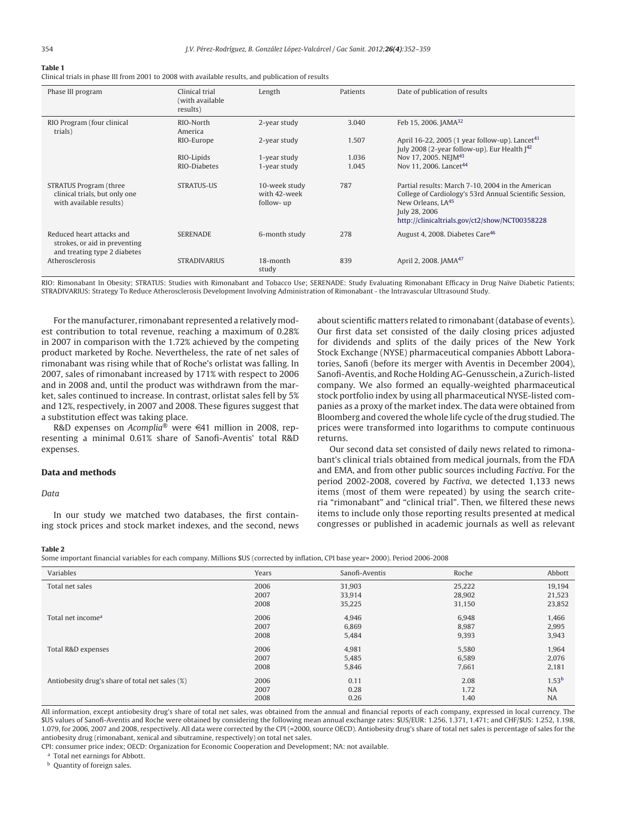<span id="page-2-0"></span>

| $\sim$<br>. . |  |
|---------------|--|
|               |  |

Clinical trials in phase III from 2001 to 2008 with available results, and publication of results

| Phase III program                                                                          | Clinical trial<br>(with available<br>results) | Length                                      | Patients | Date of publication of results                                                                                                                                                                                   |
|--------------------------------------------------------------------------------------------|-----------------------------------------------|---------------------------------------------|----------|------------------------------------------------------------------------------------------------------------------------------------------------------------------------------------------------------------------|
| RIO Program (four clinical<br>trials)                                                      | RIO-North<br>America                          | 2-year study                                | 3.040    | Feb 15, 2006. JAMA <sup>32</sup>                                                                                                                                                                                 |
|                                                                                            | RIO-Europe                                    | 2-year study                                | 1.507    | April 16-22, 2005 (1 year follow-up). Lancet <sup>41</sup><br>July 2008 (2-year follow-up). Eur Health $142$                                                                                                     |
|                                                                                            | RIO-Lipids                                    | 1-year study                                | 1.036    | Nov 17, 2005. NEJM <sup>43</sup>                                                                                                                                                                                 |
|                                                                                            | RIO-Diabetes                                  | 1-year study                                | 1.045    | Nov 11, 2006. Lancet <sup>44</sup>                                                                                                                                                                               |
| STRATUS Program (three<br>clinical trials, but only one<br>with available results)         | <b>STRATUS-US</b>                             | 10-week study<br>with 42-week<br>follow- up | 787      | Partial results: March 7-10, 2004 in the American<br>College of Cardiology's 53rd Annual Scientific Session,<br>New Orleans, LA <sup>45</sup><br>July 28, 2006<br>http://clinicaltrials.gov/ct2/show/NCT00358228 |
| Reduced heart attacks and<br>strokes, or aid in preventing<br>and treating type 2 diabetes | <b>SERENADE</b>                               | 6-month study                               | 278      | August 4, 2008. Diabetes Care <sup>46</sup>                                                                                                                                                                      |
| Atherosclerosis                                                                            | <b>STRADIVARIUS</b>                           | 18-month<br>study                           | 839      | April 2, 2008. JAMA <sup>47</sup>                                                                                                                                                                                |

RIO: Rimonabant In Obesity; STRATUS: Studies with Rimonabant and Tobacco Use; SERENADE: Study Evaluating Rimonabant Efficacy in Drug Naïve Diabetic Patients; STRADIVARIUS: Strategy To Reduce Atherosclerosis Development Involving Administration of Rimonabant - the Intravascular Ultrasound Study.

For the manufacturer, rimonabant represented a relatively modest contribution to total revenue, reaching a maximum of 0.28% in 2007 in comparison with the 1.72% achieved by the competing product marketed by Roche. Nevertheless, the rate of net sales of rimonabant was rising while that of Roche's orlistat was falling. In 2007, sales of rimonabant increased by 171% with respect to 2006 and in 2008 and, until the product was withdrawn from the market, sales continued to increase. In contrast, orlistat sales fell by 5% and 12%, respectively, in 2007 and 2008. These figures suggest that a substitution effect was taking place.

R&D expenses on Acomplia<sup>®</sup> were  $\in$ 41 million in 2008, representing a minimal 0.61% share of Sanofi-Aventis' total R&D expenses.

# **Data and methods**

# Data

In our study we matched two databases, the first containing stock prices and stock market indexes, and the second, news

about scientific matters related to rimonabant (database of events). Our first data set consisted of the daily closing prices adjusted for dividends and splits of the daily prices of the New York Stock Exchange (NYSE) pharmaceutical companies Abbott Laboratories, Sanofi (before its merger with Aventis in December 2004), Sanofi-Aventis, and Roche HoldingAG-Genusschein, a Zurich-listed company. We also formed an equally-weighted pharmaceutical stock portfolio index by using all pharmaceutical NYSE-listed companies as a proxy of the market index. The data were obtained from Bloomberg and covered the whole life cycle ofthe drug studied. The prices were transformed into logarithms to compute continuous returns.

Our second data set consisted of daily news related to rimonabant's clinical trials obtained from medical journals, from the FDA and EMA, and from other public sources including Factiva. For the period 2002-2008, covered by Factiva, we detected 1,133 news items (most of them were repeated) by using the search criteria "rimonabant" and "clinical trial". Then, we filtered these news items to include only those reporting results presented at medical congresses or published in academic journals as well as relevant

#### **Table 2**

Some important financial variables for each company. Millions \$US (corrected by inflation, CPI base year= 2000). Period 2006-2008

| Variables                                       | Years | Sanofi-Aventis | Roche  | Abbott            |
|-------------------------------------------------|-------|----------------|--------|-------------------|
| Total net sales                                 | 2006  | 31,903         | 25,222 | 19,194            |
|                                                 | 2007  | 33,914         | 28,902 | 21,523            |
|                                                 | 2008  | 35,225         | 31,150 | 23,852            |
| Total net income <sup>a</sup>                   | 2006  | 4,946          | 6,948  | 1,466             |
|                                                 | 2007  | 6,869          | 8,987  | 2,995             |
|                                                 | 2008  | 5,484          | 9,393  | 3,943             |
| Total R&D expenses                              | 2006  | 4,981          | 5,580  | 1,964             |
|                                                 | 2007  | 5,485          | 6,589  | 2,076             |
|                                                 | 2008  | 5,846          | 7,661  | 2,181             |
| Antiobesity drug's share of total net sales (%) | 2006  | 0.11           | 2.08   | 1.53 <sup>b</sup> |
|                                                 | 2007  | 0.28           | 1.72   | <b>NA</b>         |
|                                                 | 2008  | 0.26           | 1.40   | <b>NA</b>         |

All information, except antiobesity drug's share of total net sales, was obtained from the annual and financial reports of each company, expressed in local currency. The \$US values of Sanofi-Aventis and Roche were obtained by considering the following mean annual exchange rates: \$US/EUR: 1.256, 1.371, 1.471; and CHF/\$US: 1.252, 1.198, 1.079, for 2006, 2007 and 2008, respectively. All data were corrected by the CPI (=2000, source OECD). Antiobesity drug's share of total net sales is percentage of sales for the antiobesity drug (rimonabant, xenical and sibutramine, respectively) on total net sales.

CPI: consumer price index; OECD: Organization for Economic Cooperation and Development; NA: not available.

<sup>a</sup> Total net earnings for Abbott.

**b** Quantity of foreign sales.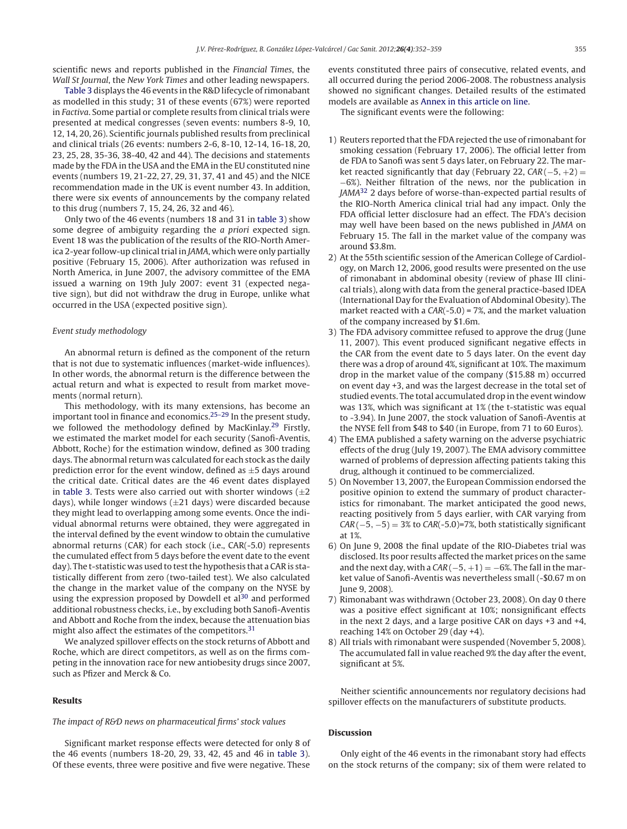scientific news and reports published in the Financial Times, the Wall St Journal, the New York Times and other leading newspapers.

[Table](#page-4-0) 3 displays the 46 events in the R&D lifecycle of rimonabant as modelled in this study; 31 of these events (67%) were reported in Factiva. Some partial or complete results from clinical trials were presented at medical congresses (seven events: numbers 8-9, 10, 12, 14, 20, 26). Scientific journals published results from preclinical and clinical trials (26 events: numbers 2-6, 8-10, 12-14, 16-18, 20, 23, 25, 28, 35-36, 38-40, 42 and 44). The decisions and statements made by the FDA in the USA and the EMA in the EU constituted nine events (numbers 19, 21-22, 27, 29, 31, 37, 41 and 45) and the NICE recommendation made in the UK is event number 43. In addition, there were six events of announcements by the company related to this drug (numbers 7, 15, 24, 26, 32 and 46).

Only two of the 46 events (numbers 18 and 31 in [table](#page-4-0) 3) show some degree of ambiguity regarding the a priori expected sign. Event 18 was the publication of the results of the RIO-North America 2-year follow-up clinical trial in JAMA, which were only partially positive (February 15, 2006). After authorization was refused in North America, in June 2007, the advisory committee of the EMA issued a warning on 19th July 2007: event 31 (expected negative sign), but did not withdraw the drug in Europe, unlike what occurred in the USA (expected positive sign).

# Event study methodology

An abnormal return is defined as the component of the return that is not due to systematic influences (market-wide influences). In other words, the abnormal return is the difference between the actual return and what is expected to result from market movements (normal return).

This methodology, with its many extensions, has become an important tool in finance and economics.<sup>25-29</sup> In the present study, we followed the methodology defined by MacKinlay.<sup>[29](#page-7-0)</sup> Firstly, we estimated the market model for each security (Sanofi-Aventis, Abbott, Roche) for the estimation window, defined as 300 trading days. The abnormal return was calculated for each stock as the daily prediction error for the event window, defined as  $\pm$ 5 days around the critical date. Critical dates are the 46 event dates displayed in [table](#page-4-0) 3. Tests were also carried out with shorter windows  $(\pm 2)$ days), while longer windows  $(\pm 21 \text{ days})$  were discarded because they might lead to overlapping among some events. Once the individual abnormal returns were obtained, they were aggregated in the interval defined by the event window to obtain the cumulative abnormal returns (CAR) for each stock (i.e., CAR(-5.0) represents the cumulated effect from 5 days before the event date to the event day). The t-statistic was used to testthe hypothesis that a CAR is statistically different from zero (two-tailed test). We also calculated the change in the market value of the company on the NYSE by using the expression proposed by Dowdell et  $al^{30}$  $al^{30}$  $al^{30}$  and performed additional robustness checks, i.e., by excluding both Sanofi-Aventis and Abbott and Roche from the index, because the attenuation bias might also affect the estimates of the competitors.<sup>[31](#page-7-0)</sup>

We analyzed spillover effects on the stock returns of Abbott and Roche, which are direct competitors, as well as on the firms competing in the innovation race for new antiobesity drugs since 2007, such as Pfizer and Merck & Co.

# **Results**

# The impact of R&D news on pharmaceutical firms' stock values

Significant market response effects were detected for only 8 of the 46 events (numbers 18-20, 29, 33, 42, 45 and 46 in [table](#page-4-0) 3). Of these events, three were positive and five were negative. These

events constituted three pairs of consecutive, related events, and all occurred during the period 2006-2008. The robustness analysis showed no significant changes. Detailed results of the estimated models are available as [Annex](#page-6-0) [in](#page-6-0) [this](#page-6-0) [article](#page-6-0) [on](#page-6-0) [line.](#page-6-0)

The significant events were the following:

- 1) Reuters reported that the FDA rejected the use of rimonabant for smoking cessation (February 17, 2006). The official letter from de FDA to Sanofi was sent 5 days later, on February 22. The market reacted significantly that day (February 22,  $CAR(-5, +2) =$ −6%). Neither filtration of the news, nor the publication in JAMA<sup>[32](#page-7-0)</sup> 2 days before of worse-than-expected partial results of the RIO-North America clinical trial had any impact. Only the FDA official letter disclosure had an effect. The FDA's decision may well have been based on the news published in JAMA on February 15. The fall in the market value of the company was around \$3.8m.
- 2) At the 55th scientific session of the American College of Cardiology, on March 12, 2006, good results were presented on the use of rimonabant in abdominal obesity (review of phase III clinical trials), along with data from the general practice-based IDEA (International Day for the Evaluation of Abdominal Obesity). The market reacted with a  $CAR(-5.0) = 7\%$ , and the market valuation of the company increased by \$1.6m.
- 3) The FDA advisory committee refused to approve the drug (June 11, 2007). This event produced significant negative effects in the CAR from the event date to 5 days later. On the event day there was a drop of around 4%, significant at 10%. The maximum drop in the market value of the company (\$15.88 m) occurred on event day +3, and was the largest decrease in the total set of studied events. The total accumulated drop in the event window was 13%, which was significant at 1% (the t-statistic was equal to -3.94). In June 2007, the stock valuation of Sanofi-Aventis at the NYSE fell from \$48 to \$40 (in Europe, from 71 to 60 Euros).
- 4) The EMA published a safety warning on the adverse psychiatric effects of the drug (July 19, 2007). The EMA advisory committee warned of problems of depression affecting patients taking this drug, although it continued to be commercialized.
- 5) On November 13, 2007, the European Commission endorsed the positive opinion to extend the summary of product characteristics for rimonabant. The market anticipated the good news, reacting positively from 5 days earlier, with CAR varying from  $CAR(-5, -5) = 3%$  to  $CAR(-5.0) = 7%$ , both statistically significant at 1%.
- 6) On June 9, 2008 the final update of the RIO-Diabetes trial was disclosed. Its poor results affected the market prices on the same and the next day, with a  $CAR (-5, +1) = -6\%$ . The fall in the market value of Sanofi-Aventis was nevertheless small (-\$0.67 m on June 9, 2008).
- 7) Rimonabant was withdrawn (October 23, 2008). On day 0 there was a positive effect significant at 10%; nonsignificant effects in the next 2 days, and a large positive CAR on days +3 and +4, reaching 14% on October 29 (day +4).
- 8) All trials with rimonabant were suspended (November 5, 2008). The accumulated fall in value reached 9% the day after the event, significant at 5%.

Neither scientific announcements nor regulatory decisions had spillover effects on the manufacturers of substitute products.

#### **Discussion**

Only eight of the 46 events in the rimonabant story had effects on the stock returns of the company; six of them were related to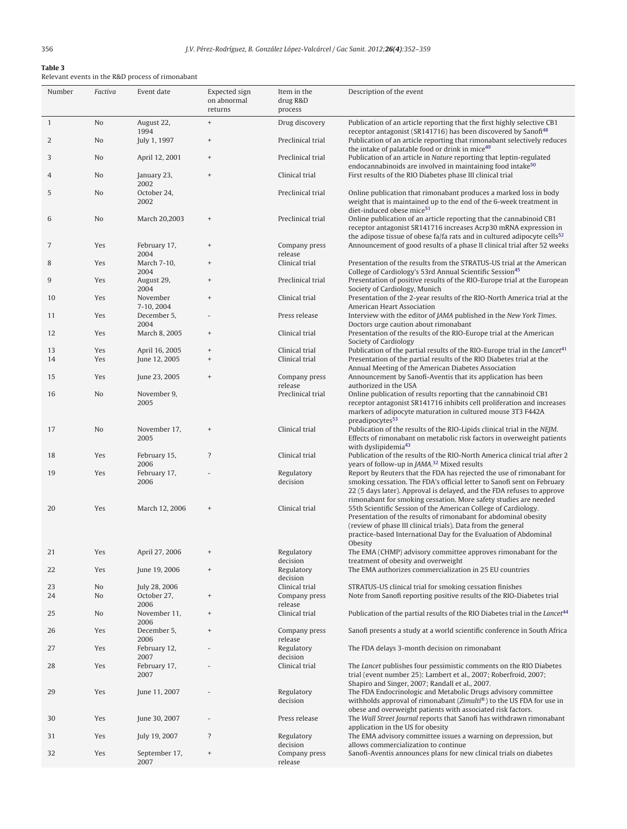# <span id="page-4-0"></span>**Table 3**

Relevant events in the R&D process of rimonabant

| Number       | Factiva    | Event date                           | Expected sign<br>on abnormal<br>returns  | Item in the<br>drug R&D<br>process         | Description of the event                                                                                                                                                                                                                                                                       |
|--------------|------------|--------------------------------------|------------------------------------------|--------------------------------------------|------------------------------------------------------------------------------------------------------------------------------------------------------------------------------------------------------------------------------------------------------------------------------------------------|
| $\mathbf{1}$ | No         | August 22,<br>1994                   | $^{\mathrm{+}}$                          | Drug discovery                             | Publication of an article reporting that the first highly selective CB1<br>receptor antagonist (SR141716) has been discovered by Sanofi <sup>48</sup>                                                                                                                                          |
| 2            | No         | July 1, 1997                         | $^{\mathrm{+}}$                          | Preclinical trial                          | Publication of an article reporting that rimonabant selectively reduces<br>the intake of palatable food or drink in mice <sup>49</sup>                                                                                                                                                         |
| 3            | No         | April 12, 2001                       | $\qquad \qquad +$                        | Preclinical trial                          | Publication of an article in Nature reporting that leptin-regulated<br>endocannabinoids are involved in maintaining food intake <sup>50</sup>                                                                                                                                                  |
| 4            | No         | January 23,<br>2002                  | $\qquad \qquad +$                        | Clinical trial                             | First results of the RIO Diabetes phase III clinical trial                                                                                                                                                                                                                                     |
| 5            | No         | October 24,<br>2002                  |                                          | Preclinical trial                          | Online publication that rimonabant produces a marked loss in body<br>weight that is maintained up to the end of the 6-week treatment in<br>diet-induced obese mice <sup>51</sup>                                                                                                               |
| 6            | No         | March 20,2003                        | $^{\mathrm{+}}$                          | Preclinical trial                          | Online publication of an article reporting that the cannabinoid CB1<br>receptor antagonist SR141716 increases Acrp30 mRNA expression in<br>the adipose tissue of obese fa/fa rats and in cultured adipocyte cells <sup>52</sup>                                                                |
| 7            | Yes        | February 17,<br>2004                 | $\begin{array}{c} + \end{array}$         | Company press<br>release                   | Announcement of good results of a phase II clinical trial after 52 weeks                                                                                                                                                                                                                       |
| 8            | Yes        | March 7-10,<br>2004                  | $^+$                                     | Clinical trial                             | Presentation of the results from the STRATUS-US trial at the American<br>College of Cardiology's 53rd Annual Scientific Session <sup>45</sup>                                                                                                                                                  |
| 9            | Yes        | August 29,<br>2004                   | $\qquad \qquad +$                        | Preclinical trial                          | Presentation of positive results of the RIO-Europe trial at the European<br>Society of Cardiology, Munich                                                                                                                                                                                      |
| 10           | Yes        | November<br>7-10, 2004               | $^{\mathrm{+}}$                          | Clinical trial                             | Presentation of the 2-year results of the RIO-North America trial at the<br>American Heart Association                                                                                                                                                                                         |
| 11           | Yes        | December 5,<br>2004                  |                                          | Press release                              | Interview with the editor of JAMA published in the New York Times.<br>Doctors urge caution about rimonabant                                                                                                                                                                                    |
| 12<br>13     | Yes        | March 8, 2005                        | $\begin{array}{c} + \end{array}$<br>$^+$ | Clinical trial                             | Presentation of the results of the RIO-Europe trial at the American<br>Society of Cardiology<br>Publication of the partial results of the RIO-Europe trial in the Lancet <sup>41</sup>                                                                                                         |
| 14           | Yes<br>Yes | April 16, 2005<br>June 12, 2005      | $\qquad \qquad +$                        | Clinical trial<br>Clinical trial           | Presentation of the partial results of the RIO Diabetes trial at the<br>Annual Meeting of the American Diabetes Association                                                                                                                                                                    |
| 15           | Yes        | June 23, 2005                        | $^{\mathrm{+}}$                          | Company press<br>release                   | Announcement by Sanofi-Aventis that its application has been<br>authorized in the USA                                                                                                                                                                                                          |
| 16           | No         | November 9,<br>2005                  |                                          | Preclinical trial                          | Online publication of results reporting that the cannabinoid CB1<br>receptor antagonist SR141716 inhibits cell proliferation and increases<br>markers of adipocyte maturation in cultured mouse 3T3 F442A<br>preadipocytes <sup>53</sup>                                                       |
| 17           | No         | November 17,<br>2005                 | $^{\mathrm{+}}$                          | Clinical trial                             | Publication of the results of the RIO-Lipids clinical trial in the NEJM.<br>Effects of rimonabant on metabolic risk factors in overweight patients<br>with dyslipidemia <sup>43</sup>                                                                                                          |
| 18           | Yes        | February 15,<br>2006                 | $\overline{\phantom{a}}$                 | Clinical trial                             | Publication of the results of the RIO-North America clinical trial after 2<br>years of follow-up in JAMA. <sup>32</sup> Mixed results                                                                                                                                                          |
| 19           | Yes        | February 17,<br>2006                 |                                          | Regulatory<br>decision                     | Report by Reuters that the FDA has rejected the use of rimonabant for<br>smoking cessation. The FDA's official letter to Sanofi sent on February<br>22 (5 days later). Approval is delayed, and the FDA refuses to approve<br>rimonabant for smoking cessation. More safety studies are needed |
| 20           | Yes        | March 12, 2006                       | $^{\mathrm{+}}$                          | Clinical trial                             | 55th Scientific Session of the American College of Cardiology.<br>Presentation of the results of rimonabant for abdominal obesity<br>(review of phase III clinical trials). Data from the general<br>practice-based International Day for the Evaluation of Abdominal<br>Obesity               |
| 21           | Yes        | April 27, 2006                       | $\begin{array}{c} + \end{array}$         | Regulatory<br>decision                     | The EMA (CHMP) advisory committee approves rimonabant for the<br>treatment of obesity and overweight                                                                                                                                                                                           |
| 22           | Yes        | June 19, 2006                        | $\qquad \qquad +$                        | Regulatory<br>decision                     | The EMA authorizes commercialization in 25 EU countries                                                                                                                                                                                                                                        |
| 23<br>24     | No<br>No   | July 28, 2006<br>October 27,<br>2006 | $^{\mathrm{+}}$                          | Clinical trial<br>Company press<br>release | STRATUS-US clinical trial for smoking cessation finishes<br>Note from Sanofi reporting positive results of the RIO-Diabetes trial                                                                                                                                                              |
| 25           | No         | November 11,<br>2006                 | $\begin{array}{c} + \end{array}$         | Clinical trial                             | Publication of the partial results of the RIO Diabetes trial in the Lancet <sup>44</sup>                                                                                                                                                                                                       |
| 26           | Yes        | December 5,<br>2006                  | $\begin{array}{c} + \end{array}$         | Company press<br>release                   | Sanofi presents a study at a world scientific conference in South Africa                                                                                                                                                                                                                       |
| 27           | Yes        | February 12,<br>2007                 |                                          | Regulatory<br>decision                     | The FDA delays 3-month decision on rimonabant                                                                                                                                                                                                                                                  |
| 28           | Yes        | February 17,<br>2007                 |                                          | Clinical trial                             | The Lancet publishes four pessimistic comments on the RIO Diabetes<br>trial (event number 25): Lambert et al., 2007; Roberfroid, 2007;<br>Shapiro and Singer, 2007; Randall et al., 2007.                                                                                                      |
| 29           | Yes        | June 11, 2007                        |                                          | Regulatory<br>decision                     | The FDA Endocrinologic and Metabolic Drugs advisory committee<br>withholds approval of rimonabant $(Zimulti^{\circledast})$ to the US FDA for use in<br>obese and overweight patients with associated risk factors.                                                                            |
| 30           | Yes        | June 30, 2007                        |                                          | Press release                              | The Wall Street Journal reports that Sanofi has withdrawn rimonabant<br>application in the US for obesity                                                                                                                                                                                      |
| 31           | Yes        | July 19, 2007                        | $\overline{?}$                           | Regulatory<br>decision                     | The EMA advisory committee issues a warning on depression, but<br>allows commercialization to continue                                                                                                                                                                                         |
| 32           | Yes        | September 17,<br>2007                | $\begin{array}{c} + \end{array}$         | Company press<br>release                   | Sanofi-Aventis announces plans for new clinical trials on diabetes                                                                                                                                                                                                                             |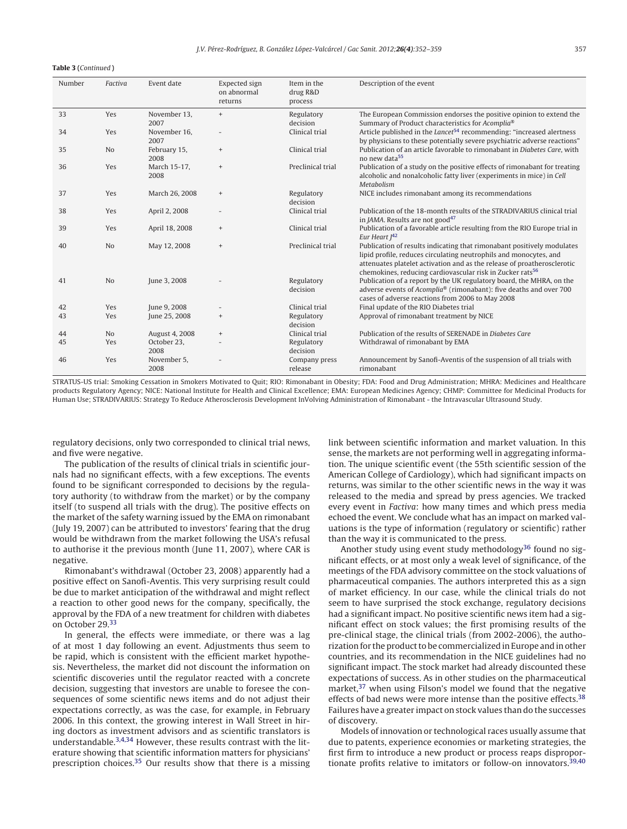#### **Table 3 (**Continued **)**

| Number | Factiva        | Event date           | Expected sign<br>on abnormal<br>returns | Item in the<br>drug R&D<br>process | Description of the event                                                                                                                                                                                                                                                                        |
|--------|----------------|----------------------|-----------------------------------------|------------------------------------|-------------------------------------------------------------------------------------------------------------------------------------------------------------------------------------------------------------------------------------------------------------------------------------------------|
| 33     | Yes            | November 13,<br>2007 | $+$                                     | Regulatory<br>decision             | The European Commission endorses the positive opinion to extend the<br>Summary of Product characteristics for Acomplia®                                                                                                                                                                         |
| 34     | Yes            | November 16,<br>2007 |                                         | Clinical trial                     | Article published in the Lancet <sup>54</sup> recommending: "increased alertness"<br>by physicians to these potentially severe psychiatric adverse reactions"                                                                                                                                   |
| 35     | No             | February 15,<br>2008 | $\ddot{}$                               | Clinical trial                     | Publication of an article favorable to rimonabant in Diabetes Care, with<br>no new data <sup>55</sup>                                                                                                                                                                                           |
| 36     | Yes            | March 15-17.<br>2008 | $+$                                     | Preclinical trial                  | Publication of a study on the positive effects of rimonabant for treating<br>alcoholic and nonalcoholic fatty liver (experiments in mice) in Cell<br>Metabolism                                                                                                                                 |
| 37     | Yes            | March 26, 2008       | $\ddot{}$                               | Regulatory<br>decision             | NICE includes rimonabant among its recommendations                                                                                                                                                                                                                                              |
| 38     | Yes            | April 2, 2008        |                                         | Clinical trial                     | Publication of the 18-month results of the STRADIVARIUS clinical trial<br>in JAMA. Results are not good <sup>47</sup>                                                                                                                                                                           |
| 39     | Yes            | April 18, 2008       | $\ddot{}$                               | Clinical trial                     | Publication of a favorable article resulting from the RIO Europe trial in<br>Eur Heart $I^{42}$                                                                                                                                                                                                 |
| 40     | N <sub>o</sub> | May 12, 2008         | $+$                                     | Preclinical trial                  | Publication of results indicating that rimonabant positively modulates<br>lipid profile, reduces circulating neutrophils and monocytes, and<br>attenuates platelet activation and as the release of proatherosclerotic<br>chemokines, reducing cardiovascular risk in Zucker rats <sup>56</sup> |
| 41     | N <sub>o</sub> | June 3, 2008         |                                         | Regulatory<br>decision             | Publication of a report by the UK regulatory board, the MHRA, on the<br>adverse events of Acomplia® (rimonabant): five deaths and over 700<br>cases of adverse reactions from 2006 to May 2008                                                                                                  |
| 42     | Yes            | June 9, 2008         |                                         | Clinical trial                     | Final update of the RIO Diabetes trial                                                                                                                                                                                                                                                          |
| 43     | Yes            | June 25, 2008        | $\qquad \qquad +$                       | Regulatory<br>decision             | Approval of rimonabant treatment by NICE                                                                                                                                                                                                                                                        |
| 44     | N <sub>o</sub> | August 4, 2008       | $\ddot{}$                               | Clinical trial                     | Publication of the results of SERENADE in Diabetes Care                                                                                                                                                                                                                                         |
| 45     | Yes            | October 23,<br>2008  |                                         | Regulatory<br>decision             | Withdrawal of rimonabant by EMA                                                                                                                                                                                                                                                                 |
| 46     | Yes            | November 5,<br>2008  |                                         | Company press<br>release           | Announcement by Sanofi-Aventis of the suspension of all trials with<br>rimonabant                                                                                                                                                                                                               |

STRATUS-US trial: Smoking Cessation in Smokers Motivated to Quit; RIO: Rimonabant in Obesity; FDA: Food and Drug Administration; MHRA: Medicines and Healthcare products Regulatory Agency; NICE: National Institute for Health and Clinical Excellence; EMA: European Medicines Agency; CHMP: Committee for Medicinal Products for Human Use; STRADIVARIUS: Strategy To Reduce Atherosclerosis Development InVolving Administration of Rimonabant - the Intravascular Ultrasound Study.

regulatory decisions, only two corresponded to clinical trial news, and five were negative.

The publication of the results of clinical trials in scientific journals had no significant effects, with a few exceptions. The events found to be significant corresponded to decisions by the regulatory authority (to withdraw from the market) or by the company itself (to suspend all trials with the drug). The positive effects on the market of the safety warning issued by the EMA on rimonabant (July 19, 2007) can be attributed to investors' fearing that the drug would be withdrawn from the market following the USA's refusal to authorise it the previous month (June 11, 2007), where CAR is negative.

Rimonabant's withdrawal (October 23, 2008) apparently had a positive effect on Sanofi-Aventis. This very surprising result could be due to market anticipation of the withdrawal and might reflect a reaction to other good news for the company, specifically, the approval by the FDA of a new treatment for children with diabetes on October 29[.33](#page-7-0)

In general, the effects were immediate, or there was a lag of at most 1 day following an event. Adjustments thus seem to be rapid, which is consistent with the efficient market hypothesis. Nevertheless, the market did not discount the information on scientific discoveries until the regulator reacted with a concrete decision, suggesting that investors are unable to foresee the consequences of some scientific news items and do not adjust their expectations correctly, as was the case, for example, in February 2006. In this context, the growing interest in Wall Street in hiring doctors as investment advisors and as scientific translators is understandable[.3,4,34](#page-6-0) However, these results contrast with the literature showing that scientific information matters for physicians' prescription choices.[35](#page-7-0) Our results show that there is a missing link between scientific information and market valuation. In this sense, the markets are not performing well in aggregating information. The unique scientific event (the 55th scientific session of the American College of Cardiology), which had significant impacts on returns, was similar to the other scientific news in the way it was released to the media and spread by press agencies. We tracked every event in Factiva: how many times and which press media echoed the event. We conclude what has an impact on marked valuations is the type of information (regulatory or scientific) rather than the way it is communicated to the press.

Another study using event study methodology<sup>[36](#page-7-0)</sup> found no significant effects, or at most only a weak level of significance, of the meetings of the FDA advisory committee on the stock valuations of pharmaceutical companies. The authors interpreted this as a sign of market efficiency. In our case, while the clinical trials do not seem to have surprised the stock exchange, regulatory decisions had a significant impact. No positive scientific news item had a significant effect on stock values; the first promising results of the pre-clinical stage, the clinical trials (from 2002-2006), the authorization for the product to be commercialized in Europe and in other countries, and its recommendation in the NICE guidelines had no significant impact. The stock market had already discounted these expectations of success. As in other studies on the pharmaceutical market,[37](#page-7-0) when using Filson's model we found that the negative effects of bad news were more intense than the positive effects.<sup>38</sup> Failures have a greater impact on stock values than do the successes of discovery.

Models of innovation or technological races usually assume that due to patents, experience economies or marketing strategies, the first firm to introduce a new product or process reaps disproportionate profits relative to imitators or follow-on innovators.<sup>39,40</sup>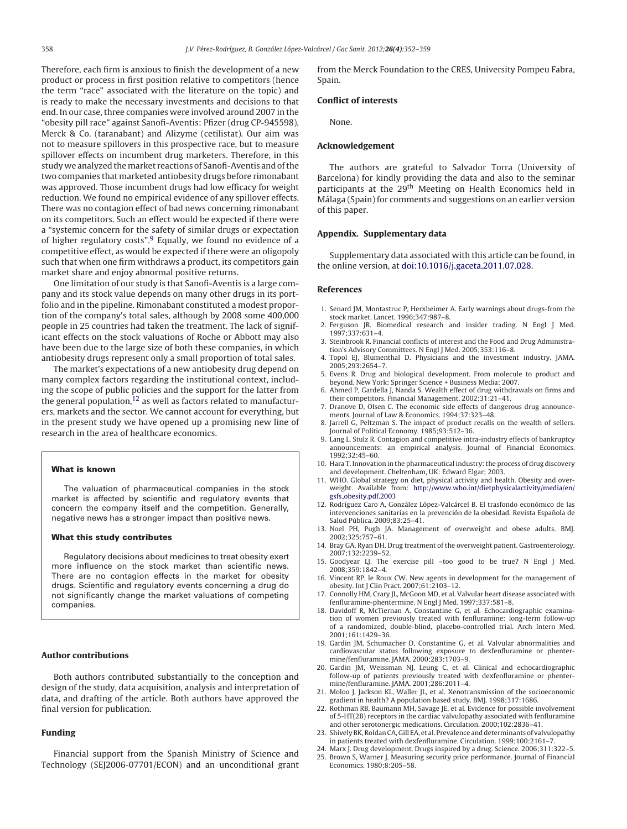<span id="page-6-0"></span>Therefore, each firm is anxious to finish the development of a new product or process in first position relative to competitors (hence the term "race" associated with the literature on the topic) and is ready to make the necessary investments and decisions to that end. In our case, three companies were involved around 2007 in the "obesity pill race" against Sanofi-Aventis: Pfizer (drug CP-945598), Merck & Co. (taranabant) and Alizyme (cetilistat). Our aim was not to measure spillovers in this prospective race, but to measure spillover effects on incumbent drug marketers. Therefore, in this study we analyzed the market reactions of Sanofi-Aventis and of the two companies that marketed antiobesity drugs before rimonabant was approved. Those incumbent drugs had low efficacy for weight reduction. We found no empirical evidence of any spillover effects. There was no contagion effect of bad news concerning rimonabant on its competitors. Such an effect would be expected if there were a "systemic concern for the safety of similar drugs or expectation of higher regulatory costs".9 Equally, we found no evidence of a competitive effect, as would be expected if there were an oligopoly such that when one firm withdraws a product, its competitors gain market share and enjoy abnormal positive returns.

One limitation of our study is that Sanofi-Aventis is a large company and its stock value depends on many other drugs in its portfolio and in the pipeline. Rimonabant constituted a modest proportion of the company's total sales, although by 2008 some 400,000 people in 25 countries had taken the treatment. The lack of significant effects on the stock valuations of Roche or Abbott may also have been due to the large size of both these companies, in which antiobesity drugs represent only a small proportion of total sales.

The market's expectations of a new antiobesity drug depend on many complex factors regarding the institutional context, including the scope of public policies and the support for the latter from the general population, $12$  as well as factors related to manufacturers, markets and the sector. We cannot account for everything, but in the present study we have opened up a promising new line of research in the area of healthcare economics.

# **What is known**

The valuation of pharmaceutical companies in the stock market is affected by scientific and regulatory events that concern the company itself and the competition. Generally, negative news has a stronger impact than positive news.

# **What this study contributes**

Regulatory decisions about medicines to treat obesity exert more influence on the stock market than scientific news. There are no contagion effects in the market for obesity drugs. Scientific and regulatory events concerning a drug do not significantly change the market valuations of competing companies.

# **Author contributions**

Both authors contributed substantially to the conception and design of the study, data acquisition, analysis and interpretation of data, and drafting of the article. Both authors have approved the final version for publication.

# **Funding**

Financial support from the Spanish Ministry of Science and Technology (SEJ2006-07701/ECON) and an unconditional grant from the Merck Foundation to the CRES, University Pompeu Fabra, Spain.

# **Conflict of interests**

None.

# **Acknowledgement**

The authors are grateful to Salvador Torra (University of Barcelona) for kindly providing the data and also to the seminar participants at the 29<sup>th</sup> Meeting on Health Economics held in Málaga (Spain) for comments and suggestions on an earlier version of this paper.

# **Appendix. Supplementary data**

Supplementary data associated with this article can be found, in the online version, at [doi:10.1016/j.gaceta.2011.07.028](http://dx.doi.org/10.1016/j.gaceta.2011.07.028).

#### **References**

- 1. Senard JM, Montastruc P, Herxheimer A. Early warnings about drugs-from the stock market. Lancet. 1996;347:987–8.
- 2. Ferguson JR. Biomedical research and insider trading. N Engl J Med. 1997;337:631–4.
- 3. Steinbrook R. Financial conflicts of interest and the Food and Drug Administration's Advisory Committees. N Engl J Med. 2005;353:116–8.
- 4. Topol EJ, Blumenthal D. Physicians and the investment industry. JAMA. 2005;293:2654–7.
- 5. Evens R. Drug and biological development. From molecule to product and beyond. New York: Springer Science + Business Media; 2007.
- 6. Ahmed P, Gardella J, Nanda S. Wealth effect of drug withdrawals on firms and their competitors. Financial Management. 2002;31:21–41.
- 7. Dranove D, Olsen C. The economic side effects of dangerous drug announcements. Journal of Law & Economics. 1994;37:323–48.
- 8. Jarrell G, Peltzman S. The impact of product recalls on the wealth of sellers. Journal of Political Economy. 1985;93:512–36.
- 9. Lang L, Stulz R. Contagion and competitive intra-industry effects of bankruptcy announcements: an empirical analysis. Journal of Financial Economics. 1992;32:45–60.
- 10. Hara T. Innovation in the pharmaceutical industry:the process of drug discovery and development. Cheltenham, UK: Edward Elgar; 2003.
- 11. WHO. Global strategy on diet, physical activity and health. Obesity and overweight. Available from: [http://www.who.int/dietphysicalactivity/media/en/](http://www.who.int/dietphysicalactivity/media/en/gsfs_obesity.pdf.2003) gsfs [obesity.pdf.2003](http://www.who.int/dietphysicalactivity/media/en/gsfs_obesity.pdf.2003)
- 12. Rodríguez Caro A, González López-Valcárcel B. El trasfondo económico de las intervenciones sanitarias en la prevención de la obesidad. Revista Española de Salud Pública. 2009;83:25–41.
- 13. Noel PH, Pugh JA. Management of overweight and obese adults. BMJ. 2002;325:757–61.
- 14. Bray GA, Ryan DH. Drug treatment of the overweight patient. Gastroenterology. 2007;132:2239–52.
- 15. Goodyear LJ. The exercise pill –too good to be true? N Engl J Med. 2008;359:1842–4.
- 16. Vincent RP, le Roux CW. New agents in development for the management of obesity. Int J Clin Pract. 2007;61:2103–12.
- 17. Connolly HM, Crary JL, McGoon MD, et al. Valvular heart disease associated with fenfluramine-phentermine. N Engl J Med. 1997;337:581–8.
- 18. Davidoff R, McTiernan A, Constantine G, et al. Echocardiographic examination of women previously treated with fenfluramine: long-term follow-up of a randomized, double-blind, placebo-controlled trial. Arch Intern Med. 2001;161:1429–36.
- 19. Gardin JM, Schumacher D, Constantine G, et al. Valvular abnormalities and cardiovascular status following exposure to dexfenfluramine or phentermine/fenfluramine. JAMA. 2000;283:1703–9.
- 20. Gardin JM, Weissman NJ, Leung C, et al. Clinical and echocardiographic follow-up of patients previously treated with dexfenfluramine or phentermine/fenfluramine. JAMA. 2001;286:2011–4.
- 21. Moloo J, Jackson KL, Waller JL, et al. Xenotransmission of the socioeconomic gradient in health? A population based study. BMJ. 1998;317:1686.
- 22. Rothman RB, Baumann MH, Savage JE, et al. Evidence for possible involvement of 5-HT(2B) receptors in the cardiac valvulopathy associated with fenfluramine and other serotonergic medications. Circulation. 2000;102:2836–41.
- 23. Shively BK, Roldan CA, Gill EA, et al. Prevalence and determinants of valvulopathy in patients treated with dexfenfluramine. Circulation. 1999;100:2161–7.
- 24. Marx J. Drug development. Drugs inspired by a drug. Science. 2006;311:322–5. 25. Brown S, Warner J. Measuring security price performance. Journal of Financial Economics. 1980;8:205–58.